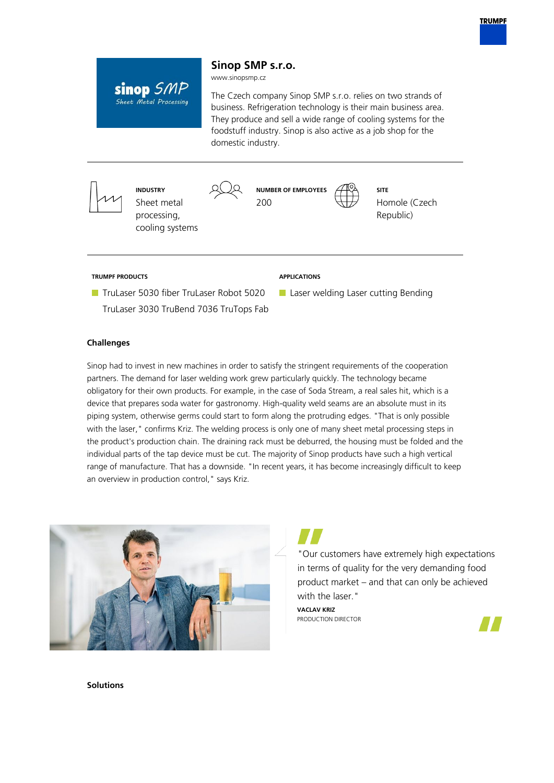

# **Sinop SMP s.r.o.**

www.sinopsmp.cz

sinop SMP Sheet Metal Processing

The Czech company Sinop SMP s.r.o. relies on two strands of business. Refrigeration technology is their main business area. They produce and sell a wide range of cooling systems for the foodstuff industry. Sinop is also active as a job shop for the domestic industry.



## **Challenges**

Sinop had to invest in new machines in order to satisfy the stringent requirements of the cooperation partners. The demand for laser welding work grew particularly quickly. The technology became obligatory for their own products. For example, in the case of Soda Stream, a real sales hit, which is a device that prepares soda water for gastronomy. High-quality weld seams are an absolute must in its piping system, otherwise germs could start to form along the protruding edges. "That is only possible with the laser," confirms Kriz. The welding process is only one of many sheet metal processing steps in the product's production chain. The draining rack must be deburred, the housing must be folded and the individual parts of the tap device must be cut. The majority of Sinop products have such a high vertical range of manufacture. That has a downside. "In recent years, it has become increasingly difficult to keep an overview in production control," says Kriz.





"Our customers have extremely high expectations in terms of quality for the very demanding food product market – and that can only be achieved with the laser."

**VACLAV KRIZ** PRODUCTION DIRECTOR



**Solutions**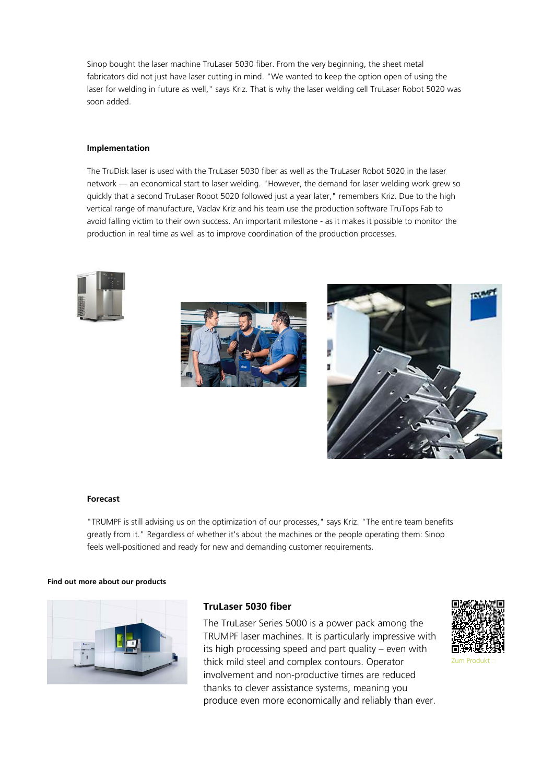Sinop bought the laser machine TruLaser 5030 fiber. From the very beginning, the sheet metal fabricators did not just have laser cutting in mind. "We wanted to keep the option open of using the laser for welding in future as well," says Kriz. That is why the laser welding cell TruLaser Robot 5020 was soon added.

## **Implementation**

The TruDisk laser is used with the TruLaser 5030 fiber as well as the TruLaser Robot 5020 in the laser network — an economical start to laser welding. "However, the demand for laser welding work grew so quickly that a second TruLaser Robot 5020 followed just a year later," remembers Kriz. Due to the high vertical range of manufacture, Vaclav Kriz and his team use the production software TruTops Fab to avoid falling victim to their own success. An important milestone - as it makes it possible to monitor the production in real time as well as to improve coordination of the production processes.







#### **Forecast**

"TRUMPF is still advising us on the optimization of our processes," says Kriz. "The entire team benefits greatly from it." Regardless of whether it's about the machines or the people operating them: Sinop feels well-positioned and ready for new and demanding customer requirements.

#### **Find out more about our products**



## **TruLaser 5030 fiber**

The TruLaser Series 5000 is a power pack among the TRUMPF laser machines. It is particularly impressive with its high processing speed and part quality – even with thick mild steel and complex contours. Operator involvement and non-productive times are reduced thanks to clever assistance systems, meaning you produce even more economically and reliably than ever.